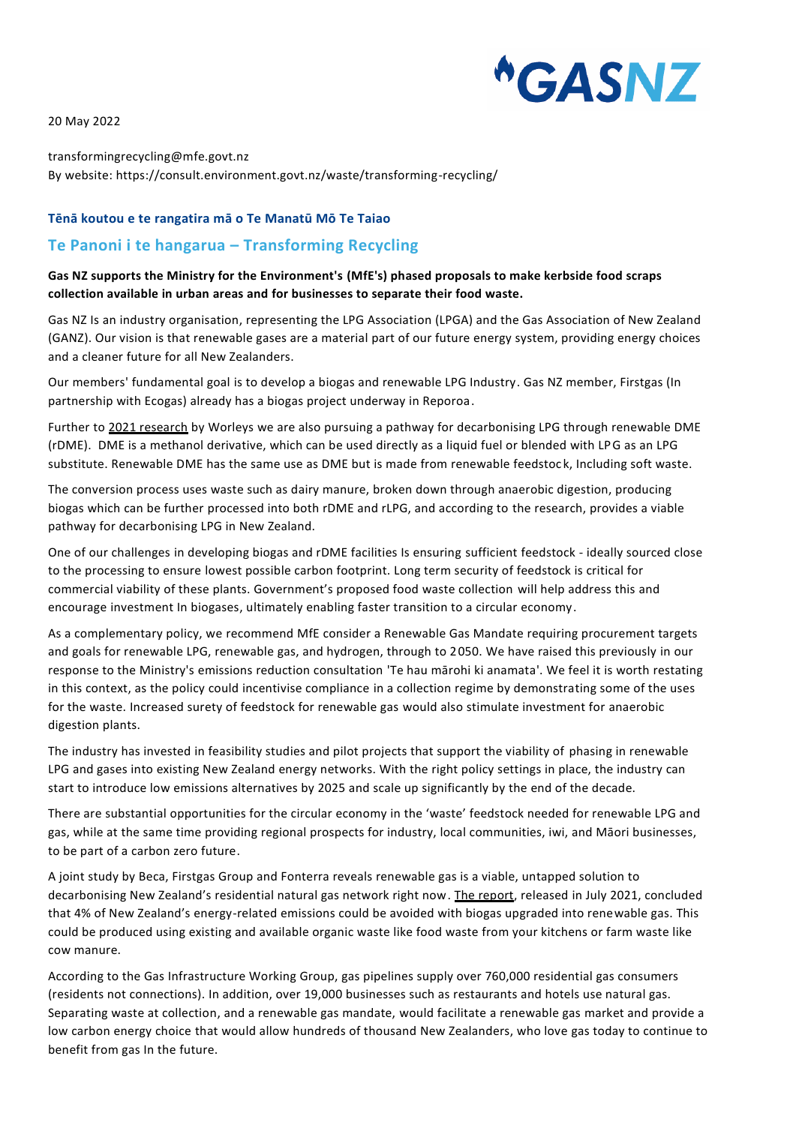**"GASNZ** 

20 May 2022

transformingrecycling@mfe.govt.nz By website: https://consult.environment.govt.nz/waste/transforming-recycling/

#### **Tēnā koutou e te rangatira mā o Te Manatū Mō Te Taiao**

# **Te Panoni i te hangarua – Transforming Recycling**

#### **Gas NZ supports the Ministry for the Environment's (MfE's) phased proposals to make kerbside food scraps collection available in urban areas and for businesses to separate their food waste.**

Gas NZ Is an industry organisation, representing the LPG Association (LPGA) and the Gas Association of New Zealand (GANZ). Our vision is that renewable gases are a material part of our future energy system, providing energy choices and a cleaner future for all New Zealanders.

Our members' fundamental goal is to develop a biogas and renewable LPG Industry. Gas NZ member, Firstgas (In partnership with Ecogas) already has a biogas project underway in Reporoa.

Further to [2021 research](https://www.gasnz.org.nz/uploads/GasNZ/Exploring%20short%20term%20renewable%20LPGDME%20production%20for%20NZ.pdf) by Worleys we are also pursuing a pathway for decarbonising LPG through renewable DME (rDME). DME is a methanol derivative, which can be used directly as a liquid fuel or blended with LPG as an LPG substitute. Renewable DME has the same use as DME but is made from renewable feedstoc k, Including soft waste.

The conversion process uses waste such as dairy manure, broken down through anaerobic digestion, producing biogas which can be further processed into both rDME and rLPG, and according to the research, provides a viable pathway for decarbonising LPG in New Zealand.

One of our challenges in developing biogas and rDME facilities Is ensuring sufficient feedstock - ideally sourced close to the processing to ensure lowest possible carbon footprint. Long term security of feedstock is critical for commercial viability of these plants. Government's proposed food waste collection will help address this and encourage investment In biogases, ultimately enabling faster transition to a circular economy.

As a complementary policy, we recommend MfE consider a Renewable Gas Mandate requiring procurement targets and goals for renewable LPG, renewable gas, and hydrogen, through to 2050. We have raised this previously in our response to the Ministry's emissions reduction consultation 'Te hau mārohi ki anamata'. We feel it is worth restating in this context, as the policy could incentivise compliance in a collection regime by demonstrating some of the uses for the waste. Increased surety of feedstock for renewable gas would also stimulate investment for anaerobic digestion plants.

The industry has invested in feasibility studies and pilot projects that support the viability of phasing in renewable LPG and gases into existing New Zealand energy networks. With the right policy settings in place, the industry can start to introduce low emissions alternatives by 2025 and scale up significantly by the end of the decade.

There are substantial opportunities for the circular economy in the 'waste' feedstock needed for renewable LPG and gas, while at the same time providing regional prospects for industry, local communities, iwi, and Māori businesses, to be part of a carbon zero future.

A joint study by Beca, Firstgas Group and Fonterra reveals renewable gas is a viable, untapped solution to decarbonising New Zealand's residential natural gas network right now. [The report,](https://www.beca.com/getmedia/4294a6b9-3ed3-48ce-8997-a16729aff608/Biogas-and-Biomethane-in-NZ-Unlocking-New-Zealand-s-Renewable-Natural-Gas-Potential-Final.pdf) released in July 2021, concluded that 4% of New Zealand's energy-related emissions could be avoided with biogas upgraded into renewable gas. This could be produced using existing and available organic waste like food waste from your kitchens or farm waste like cow manure.

According to the Gas Infrastructure Working Group, gas pipelines supply over 760,000 residential gas consumers (residents not connections). In addition, over 19,000 businesses such as restaurants and hotels use natural gas. Separating waste at collection, and a renewable gas mandate, would facilitate a renewable gas market and provide a low carbon energy choice that would allow hundreds of thousand New Zealanders, who love gas today to continue to benefit from gas In the future.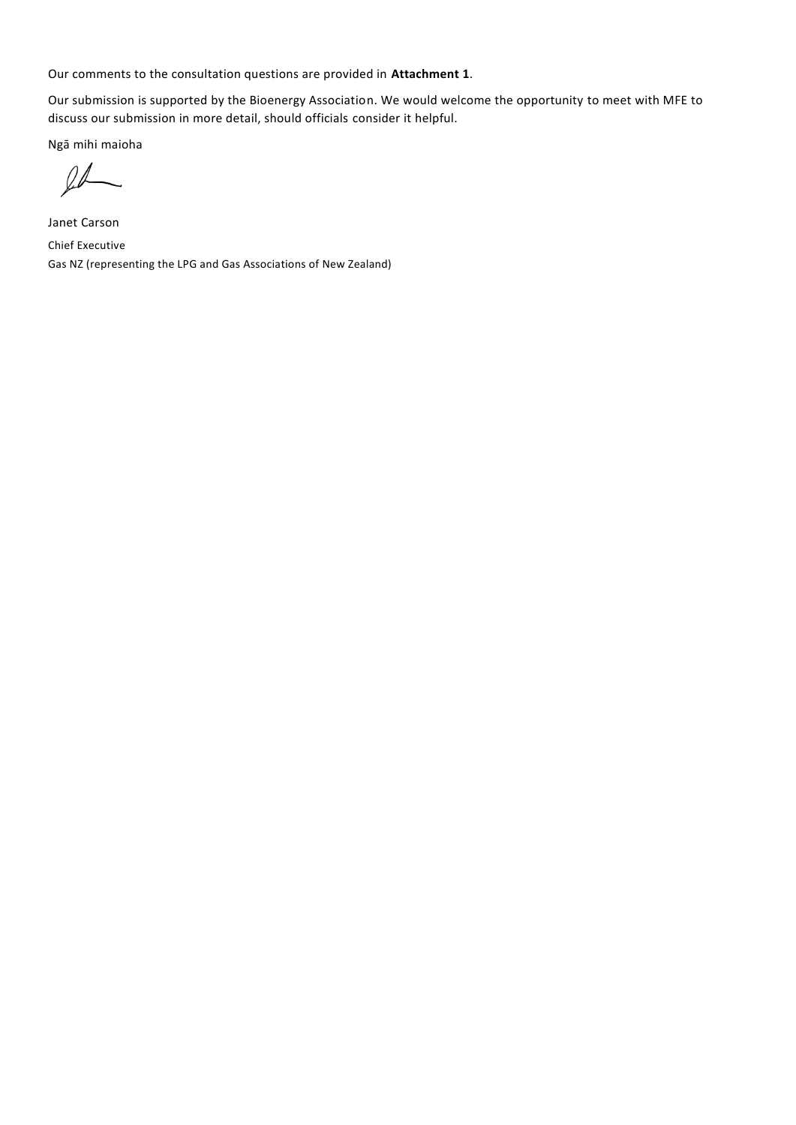Our comments to the consultation questions are provided in **Attachment 1**.

Our submission is supported by the Bioenergy Association. We would welcome the opportunity to meet with MFE to discuss our submission in more detail, should officials consider it helpful.

Ngā mihi maioha

 $l\not\!\!L$ 

Janet Carson Chief Executive Gas NZ (representing the LPG and Gas Associations of New Zealand)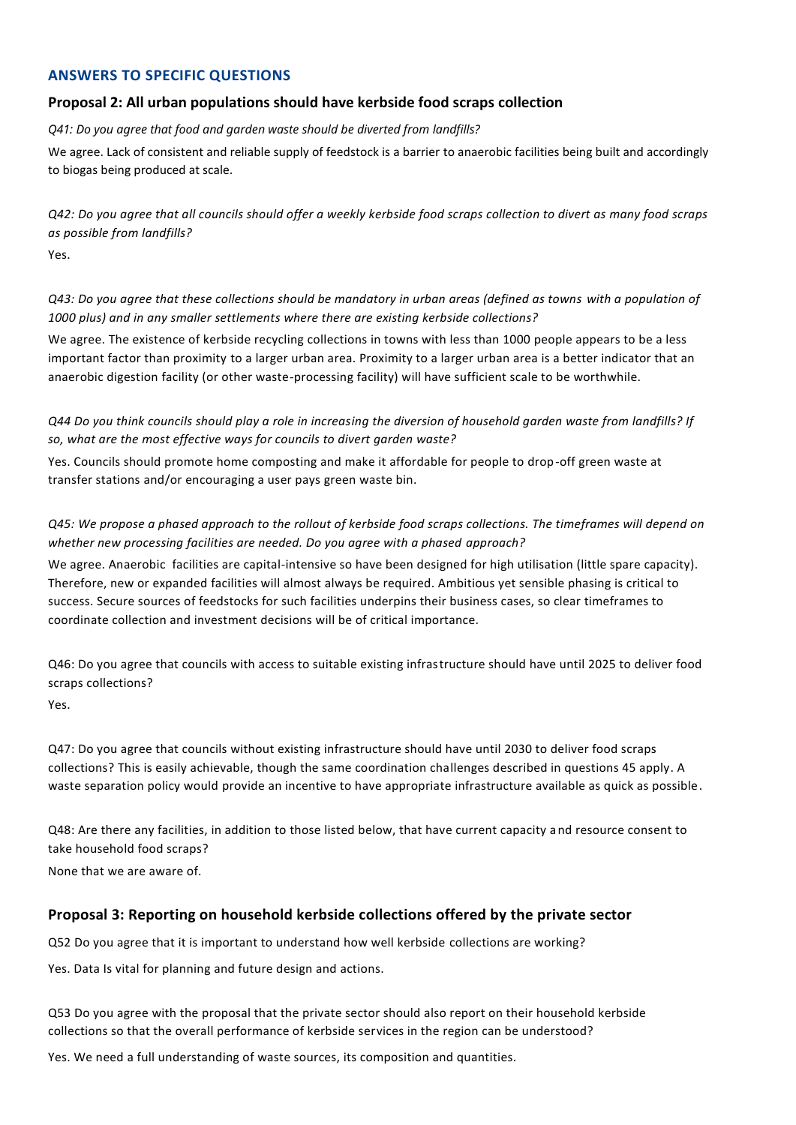# **ANSWERS TO SPECIFIC QUESTIONS**

#### **Proposal 2: All urban populations should have kerbside food scraps collection**

*Q41: Do you agree that food and garden waste should be diverted from landfills?*

We agree. Lack of consistent and reliable supply of feedstock is a barrier to anaerobic facilities being built and accordingly to biogas being produced at scale.

*Q42: Do you agree that all councils should offer a weekly kerbside food scraps collection to divert as many food scraps as possible from landfills?* 

Yes.

*Q43: Do you agree that these collections should be mandatory in urban areas (defined as towns with a population of 1000 plus) and in any smaller settlements where there are existing kerbside collections?*

We agree. The existence of kerbside recycling collections in towns with less than 1000 people appears to be a less important factor than proximity to a larger urban area. Proximity to a larger urban area is a better indicator that an anaerobic digestion facility (or other waste-processing facility) will have sufficient scale to be worthwhile.

*Q44 Do you think councils should play a role in increasing the diversion of household garden waste from landfills? If so, what are the most effective ways for councils to divert garden waste?*

Yes. Councils should promote home composting and make it affordable for people to drop-off green waste at transfer stations and/or encouraging a user pays green waste bin.

### *Q45: We propose a phased approach to the rollout of kerbside food scraps collections. The timeframes will depend on whether new processing facilities are needed. Do you agree with a phased approach?*

We agree. Anaerobic facilities are capital-intensive so have been designed for high utilisation (little spare capacity). Therefore, new or expanded facilities will almost always be required. Ambitious yet sensible phasing is critical to success. Secure sources of feedstocks for such facilities underpins their business cases, so clear timeframes to coordinate collection and investment decisions will be of critical importance.

Q46: Do you agree that councils with access to suitable existing infrastructure should have until 2025 to deliver food scraps collections?

Yes.

Q47: Do you agree that councils without existing infrastructure should have until 2030 to deliver food scraps collections? This is easily achievable, though the same coordination challenges described in questions 45 apply. A waste separation policy would provide an incentive to have appropriate infrastructure available as quick as possible.

Q48: Are there any facilities, in addition to those listed below, that have current capacity and resource consent to take household food scraps?

None that we are aware of.

# **Proposal 3: Reporting on household kerbside collections offered by the private sector**

Q52 Do you agree that it is important to understand how well kerbside collections are working?

Yes. Data Is vital for planning and future design and actions.

Q53 Do you agree with the proposal that the private sector should also report on their household kerbside collections so that the overall performance of kerbside services in the region can be understood?

Yes. We need a full understanding of waste sources, its composition and quantities.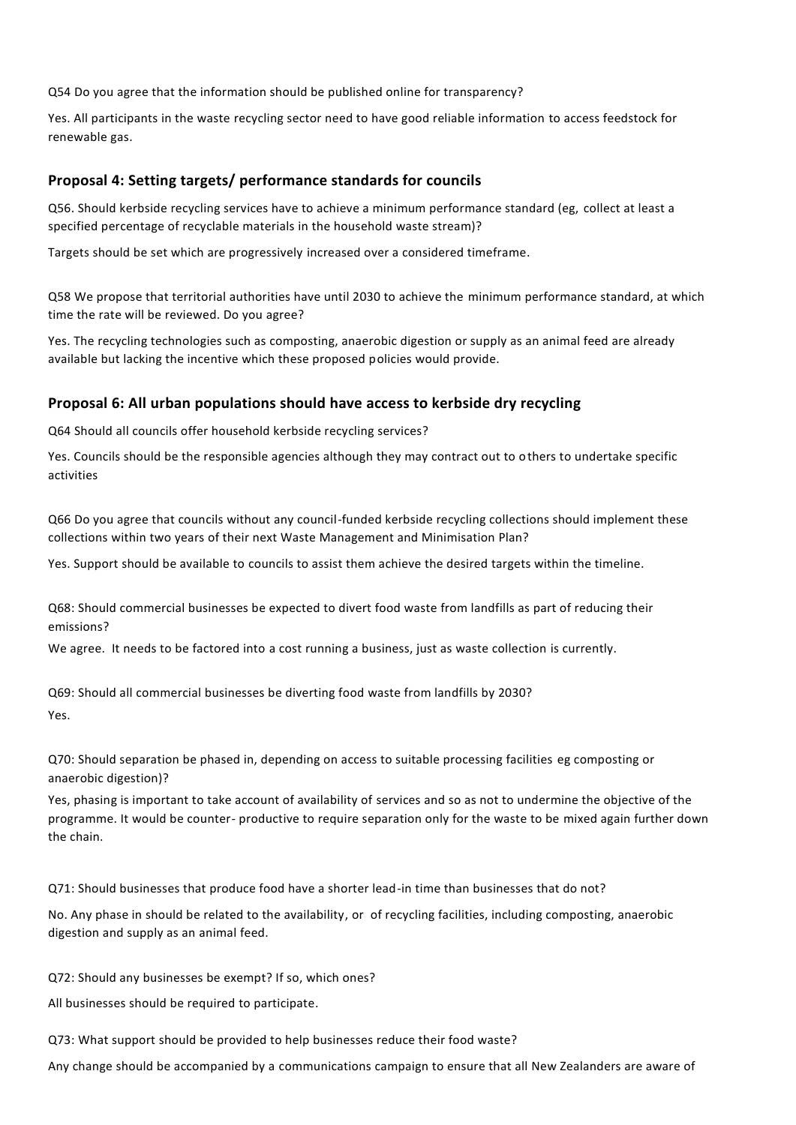Q54 Do you agree that the information should be published online for transparency?

Yes. All participants in the waste recycling sector need to have good reliable information to access feedstock for renewable gas.

# **Proposal 4: Setting targets/ performance standards for councils**

Q56. Should kerbside recycling services have to achieve a minimum performance standard (eg, collect at least a specified percentage of recyclable materials in the household waste stream)?

Targets should be set which are progressively increased over a considered timeframe.

Q58 We propose that territorial authorities have until 2030 to achieve the minimum performance standard, at which time the rate will be reviewed. Do you agree?

Yes. The recycling technologies such as composting, anaerobic digestion or supply as an animal feed are already available but lacking the incentive which these proposed policies would provide.

### **Proposal 6: All urban populations should have access to kerbside dry recycling**

Q64 Should all councils offer household kerbside recycling services?

Yes. Councils should be the responsible agencies although they may contract out to others to undertake specific activities

Q66 Do you agree that councils without any council-funded kerbside recycling collections should implement these collections within two years of their next Waste Management and Minimisation Plan?

Yes. Support should be available to councils to assist them achieve the desired targets within the timeline.

Q68: Should commercial businesses be expected to divert food waste from landfills as part of reducing their emissions?

We agree. It needs to be factored into a cost running a business, just as waste collection is currently.

Q69: Should all commercial businesses be diverting food waste from landfills by 2030? Yes.

Q70: Should separation be phased in, depending on access to suitable processing facilities eg composting or anaerobic digestion)?

Yes, phasing is important to take account of availability of services and so as not to undermine the objective of the programme. It would be counter- productive to require separation only for the waste to be mixed again further down the chain.

Q71: Should businesses that produce food have a shorter lead-in time than businesses that do not?

No. Any phase in should be related to the availability, or of recycling facilities, including composting, anaerobic digestion and supply as an animal feed.

Q72: Should any businesses be exempt? If so, which ones?

All businesses should be required to participate.

Q73: What support should be provided to help businesses reduce their food waste?

Any change should be accompanied by a communications campaign to ensure that all New Zealanders are aware of